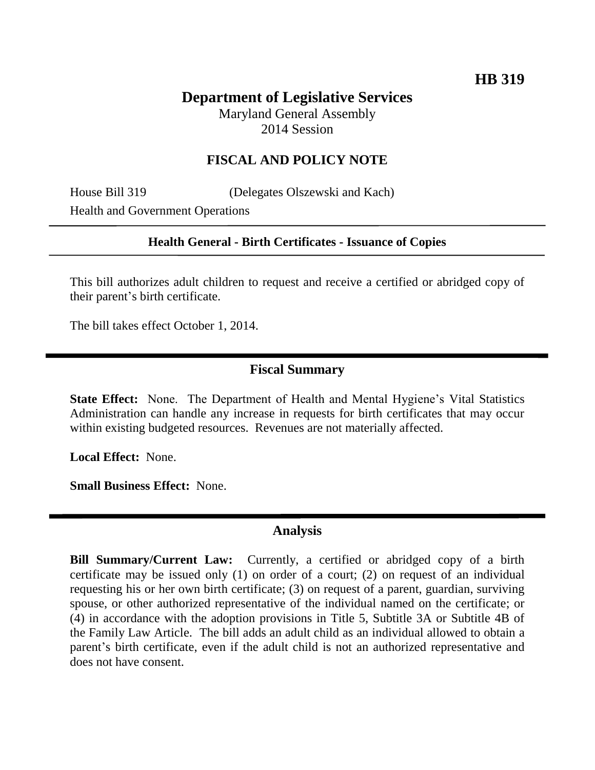# **Department of Legislative Services**

Maryland General Assembly 2014 Session

### **FISCAL AND POLICY NOTE**

House Bill 319 (Delegates Olszewski and Kach) Health and Government Operations

#### **Health General - Birth Certificates - Issuance of Copies**

This bill authorizes adult children to request and receive a certified or abridged copy of their parent's birth certificate.

The bill takes effect October 1, 2014.

#### **Fiscal Summary**

**State Effect:** None. The Department of Health and Mental Hygiene's Vital Statistics Administration can handle any increase in requests for birth certificates that may occur within existing budgeted resources. Revenues are not materially affected.

**Local Effect:** None.

**Small Business Effect:** None.

#### **Analysis**

**Bill Summary/Current Law:** Currently, a certified or abridged copy of a birth certificate may be issued only (1) on order of a court; (2) on request of an individual requesting his or her own birth certificate; (3) on request of a parent, guardian, surviving spouse, or other authorized representative of the individual named on the certificate; or (4) in accordance with the adoption provisions in Title 5, Subtitle 3A or Subtitle 4B of the Family Law Article. The bill adds an adult child as an individual allowed to obtain a parent's birth certificate, even if the adult child is not an authorized representative and does not have consent.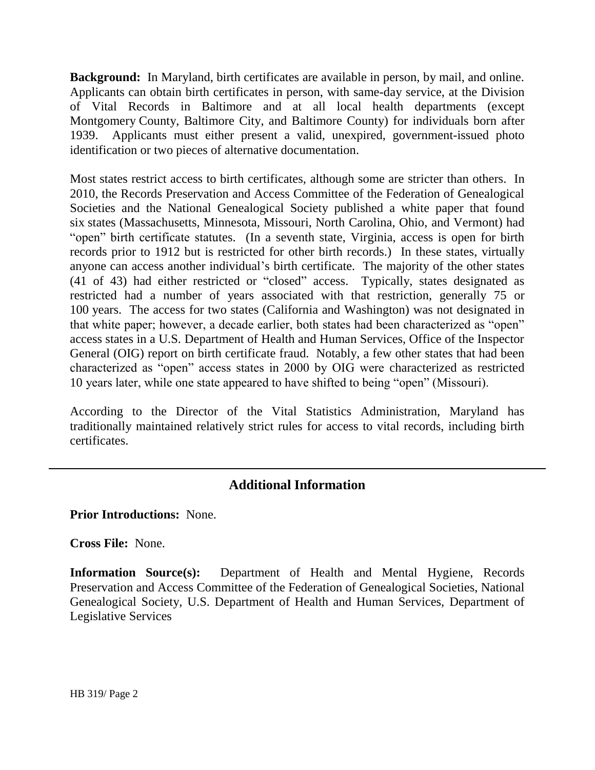**Background:** In Maryland, birth certificates are available in person, by mail, and online. Applicants can obtain birth certificates in person, with same-day service, at the Division of Vital Records in Baltimore and at all local health departments (except Montgomery County, Baltimore City, and Baltimore County) for individuals born after 1939. Applicants must either present a valid, unexpired, government-issued photo identification or two pieces of alternative documentation.

Most states restrict access to birth certificates, although some are stricter than others. In 2010, the Records Preservation and Access Committee of the Federation of Genealogical Societies and the National Genealogical Society published a white paper that found six states (Massachusetts, Minnesota, Missouri, North Carolina, Ohio, and Vermont) had "open" birth certificate statutes. (In a seventh state, Virginia, access is open for birth records prior to 1912 but is restricted for other birth records.) In these states, virtually anyone can access another individual's birth certificate. The majority of the other states (41 of 43) had either restricted or "closed" access. Typically, states designated as restricted had a number of years associated with that restriction, generally 75 or 100 years. The access for two states (California and Washington) was not designated in that white paper; however, a decade earlier, both states had been characterized as "open" access states in a U.S. Department of Health and Human Services, Office of the Inspector General (OIG) report on birth certificate fraud. Notably, a few other states that had been characterized as "open" access states in 2000 by OIG were characterized as restricted 10 years later, while one state appeared to have shifted to being "open" (Missouri).

According to the Director of the Vital Statistics Administration, Maryland has traditionally maintained relatively strict rules for access to vital records, including birth certificates.

## **Additional Information**

**Prior Introductions:** None.

**Cross File:** None.

**Information Source(s):** Department of Health and Mental Hygiene, Records Preservation and Access Committee of the Federation of Genealogical Societies, National Genealogical Society, U.S. Department of Health and Human Services, Department of Legislative Services